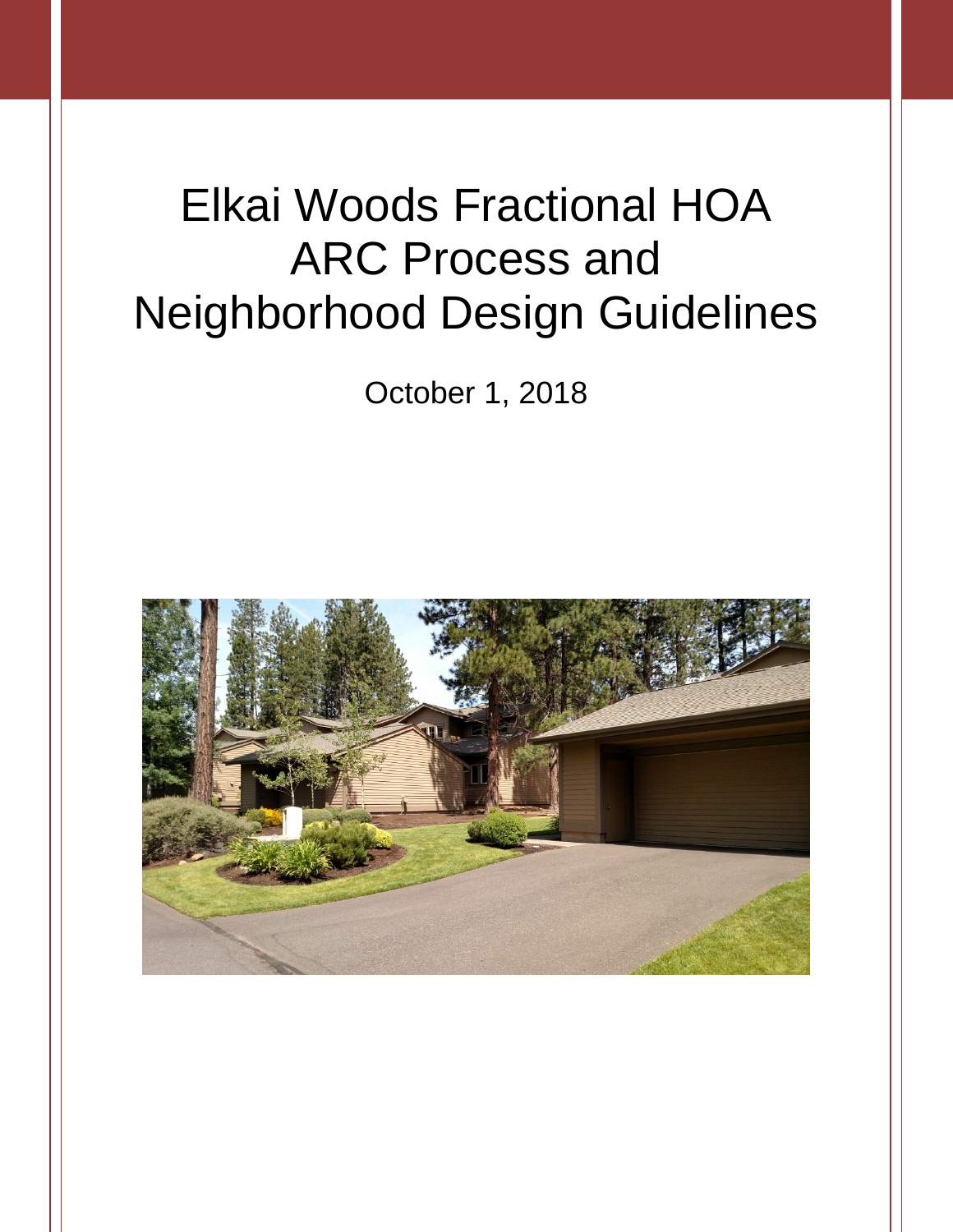# Elkai Woods Fractional HOA ARC Process and Neighborhood Design Guidelines

October 1, 2018

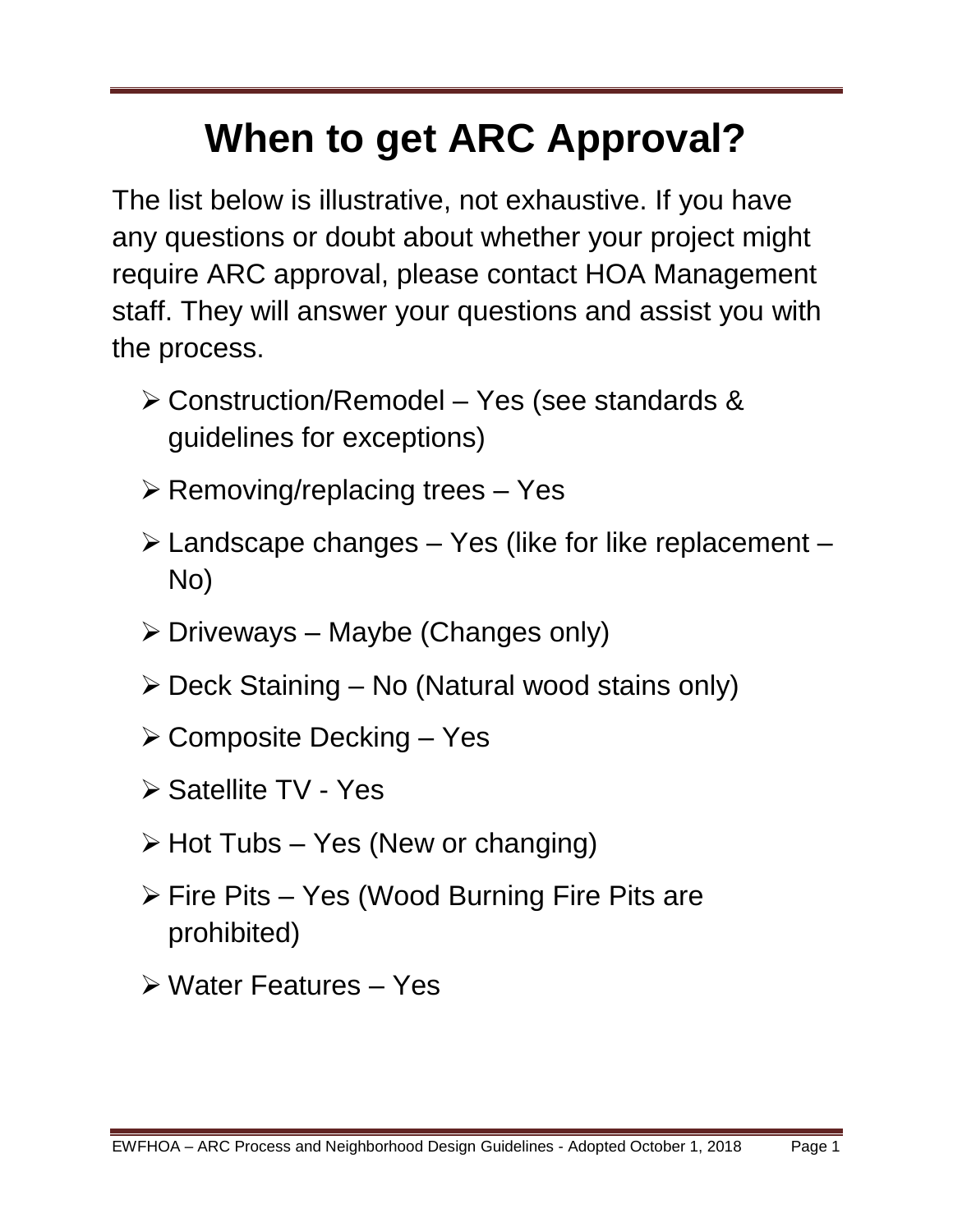# **When to get ARC Approval?**

The list below is illustrative, not exhaustive. If you have any questions or doubt about whether your project might require ARC approval, please contact HOA Management staff. They will answer your questions and assist you with the process.

- Construction/Remodel Yes (see standards & guidelines for exceptions)
- $\triangleright$  Removing/replacing trees Yes
- $\triangleright$  Landscape changes Yes (like for like replacement No)
- $\triangleright$  Driveways Maybe (Changes only)
- $\triangleright$  Deck Staining No (Natural wood stains only)
- $\triangleright$  Composite Decking Yes
- **≻ Satellite TV Yes**
- $\triangleright$  Hot Tubs Yes (New or changing)
- $\triangleright$  Fire Pits Yes (Wood Burning Fire Pits are prohibited)
- Water Features Yes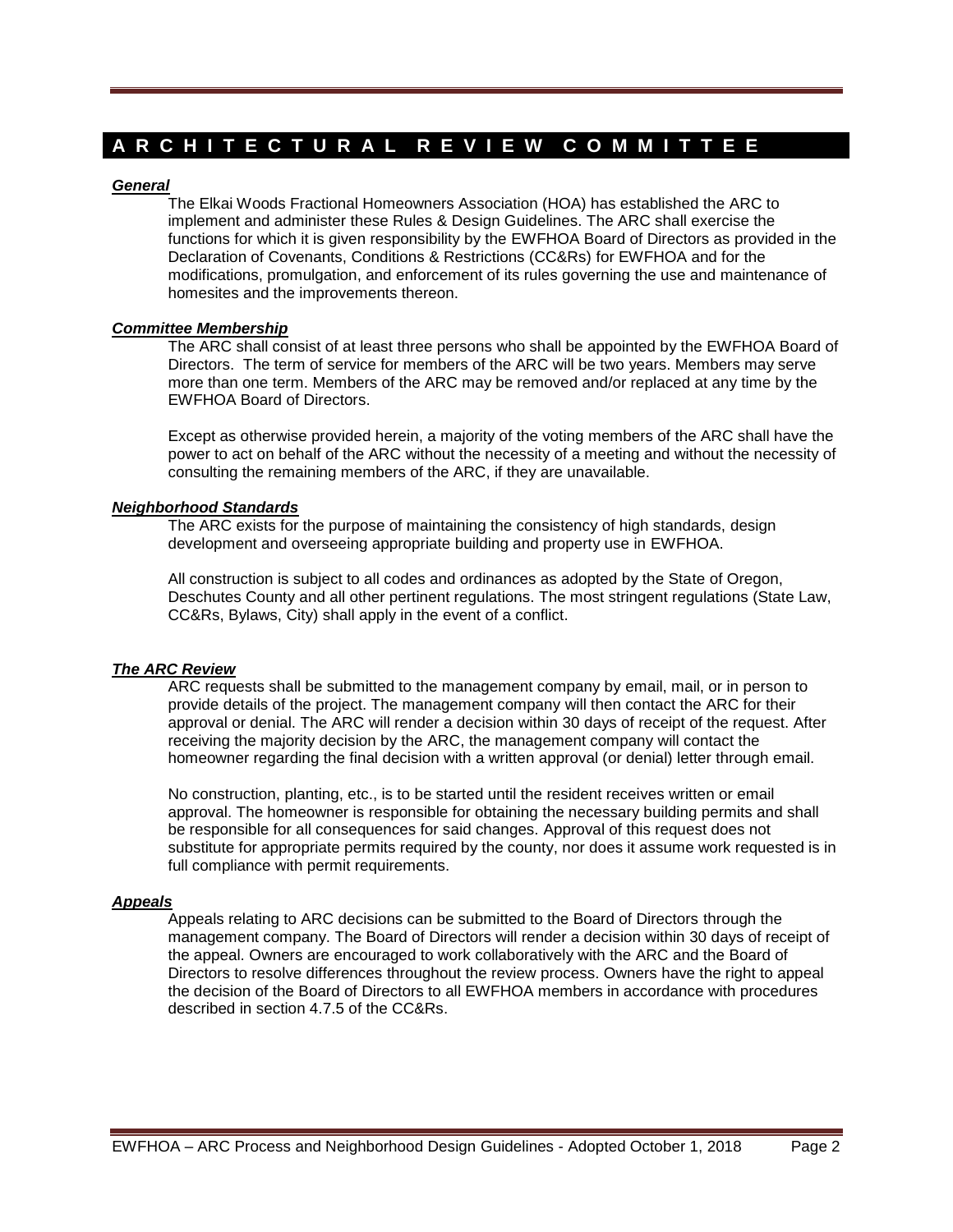## **A R C H I T E C T U R A L R E V I E W C O M M I T T E E**

## *General*

The Elkai Woods Fractional Homeowners Association (HOA) has established the ARC to implement and administer these Rules & Design Guidelines. The ARC shall exercise the functions for which it is given responsibility by the EWFHOA Board of Directors as provided in the Declaration of Covenants, Conditions & Restrictions (CC&Rs) for EWFHOA and for the modifications, promulgation, and enforcement of its rules governing the use and maintenance of homesites and the improvements thereon.

## *Committee Membership*

The ARC shall consist of at least three persons who shall be appointed by the EWFHOA Board of Directors. The term of service for members of the ARC will be two years. Members may serve more than one term. Members of the ARC may be removed and/or replaced at any time by the EWFHOA Board of Directors.

Except as otherwise provided herein, a majority of the voting members of the ARC shall have the power to act on behalf of the ARC without the necessity of a meeting and without the necessity of consulting the remaining members of the ARC, if they are unavailable.

## *Neighborhood Standards*

The ARC exists for the purpose of maintaining the consistency of high standards, design development and overseeing appropriate building and property use in EWFHOA.

All construction is subject to all codes and ordinances as adopted by the State of Oregon, Deschutes County and all other pertinent regulations. The most stringent regulations (State Law, CC&Rs, Bylaws, City) shall apply in the event of a conflict.

## *The ARC Review*

ARC requests shall be submitted to the management company by email, mail, or in person to provide details of the project. The management company will then contact the ARC for their approval or denial. The ARC will render a decision within 30 days of receipt of the request. After receiving the majority decision by the ARC, the management company will contact the homeowner regarding the final decision with a written approval (or denial) letter through email.

No construction, planting, etc., is to be started until the resident receives written or email approval. The homeowner is responsible for obtaining the necessary building permits and shall be responsible for all consequences for said changes. Approval of this request does not substitute for appropriate permits required by the county, nor does it assume work requested is in full compliance with permit requirements.

## *Appeals*

Appeals relating to ARC decisions can be submitted to the Board of Directors through the management company. The Board of Directors will render a decision within 30 days of receipt of the appeal. Owners are encouraged to work collaboratively with the ARC and the Board of Directors to resolve differences throughout the review process. Owners have the right to appeal the decision of the Board of Directors to all EWFHOA members in accordance with procedures described in section 4.7.5 of the CC&Rs.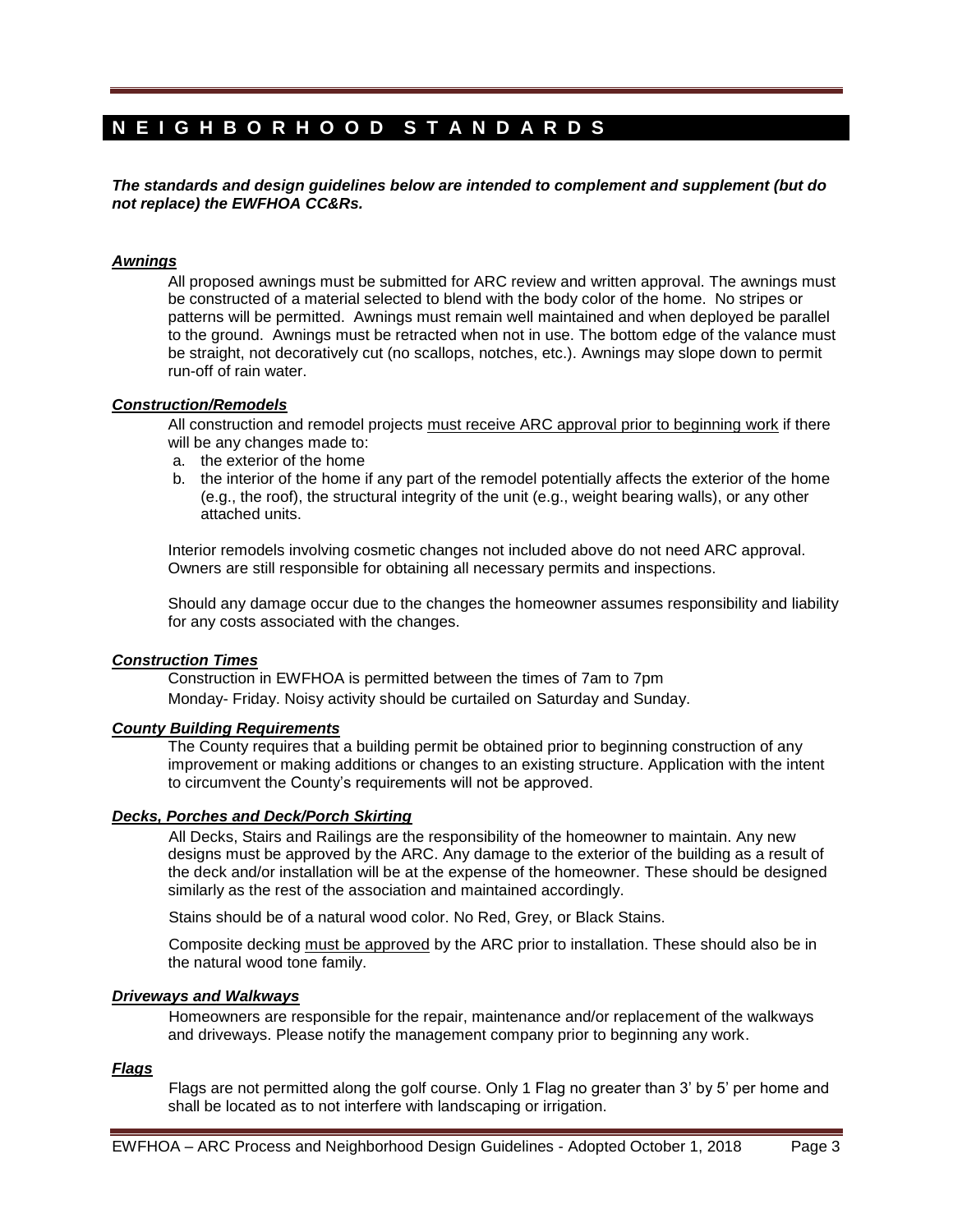## **N E I G H B O R H O O D S T A N D A R D S**

*The standards and design guidelines below are intended to complement and supplement (but do not replace) the EWFHOA CC&Rs.*

## *Awnings*

All proposed awnings must be submitted for ARC review and written approval. The awnings must be constructed of a material selected to blend with the body color of the home. No stripes or patterns will be permitted. Awnings must remain well maintained and when deployed be parallel to the ground. Awnings must be retracted when not in use. The bottom edge of the valance must be straight, not decoratively cut (no scallops, notches, etc.). Awnings may slope down to permit run-off of rain water.

## *Construction/Remodels*

All construction and remodel projects must receive ARC approval prior to beginning work if there will be any changes made to:

- a. the exterior of the home
- b. the interior of the home if any part of the remodel potentially affects the exterior of the home (e.g., the roof), the structural integrity of the unit (e.g., weight bearing walls), or any other attached units.

Interior remodels involving cosmetic changes not included above do not need ARC approval. Owners are still responsible for obtaining all necessary permits and inspections.

Should any damage occur due to the changes the homeowner assumes responsibility and liability for any costs associated with the changes.

## *Construction Times*

Construction in EWFHOA is permitted between the times of 7am to 7pm Monday- Friday. Noisy activity should be curtailed on Saturday and Sunday.

## *County Building Requirements*

The County requires that a building permit be obtained prior to beginning construction of any improvement or making additions or changes to an existing structure. Application with the intent to circumvent the County's requirements will not be approved.

## *Decks, Porches and Deck/Porch Skirting*

All Decks, Stairs and Railings are the responsibility of the homeowner to maintain. Any new designs must be approved by the ARC. Any damage to the exterior of the building as a result of the deck and/or installation will be at the expense of the homeowner. These should be designed similarly as the rest of the association and maintained accordingly.

Stains should be of a natural wood color. No Red, Grey, or Black Stains.

Composite decking must be approved by the ARC prior to installation. These should also be in the natural wood tone family.

## *Driveways and Walkways*

Homeowners are responsible for the repair, maintenance and/or replacement of the walkways and driveways. Please notify the management company prior to beginning any work.

## *Flags*

Flags are not permitted along the golf course. Only 1 Flag no greater than 3' by 5' per home and shall be located as to not interfere with landscaping or irrigation.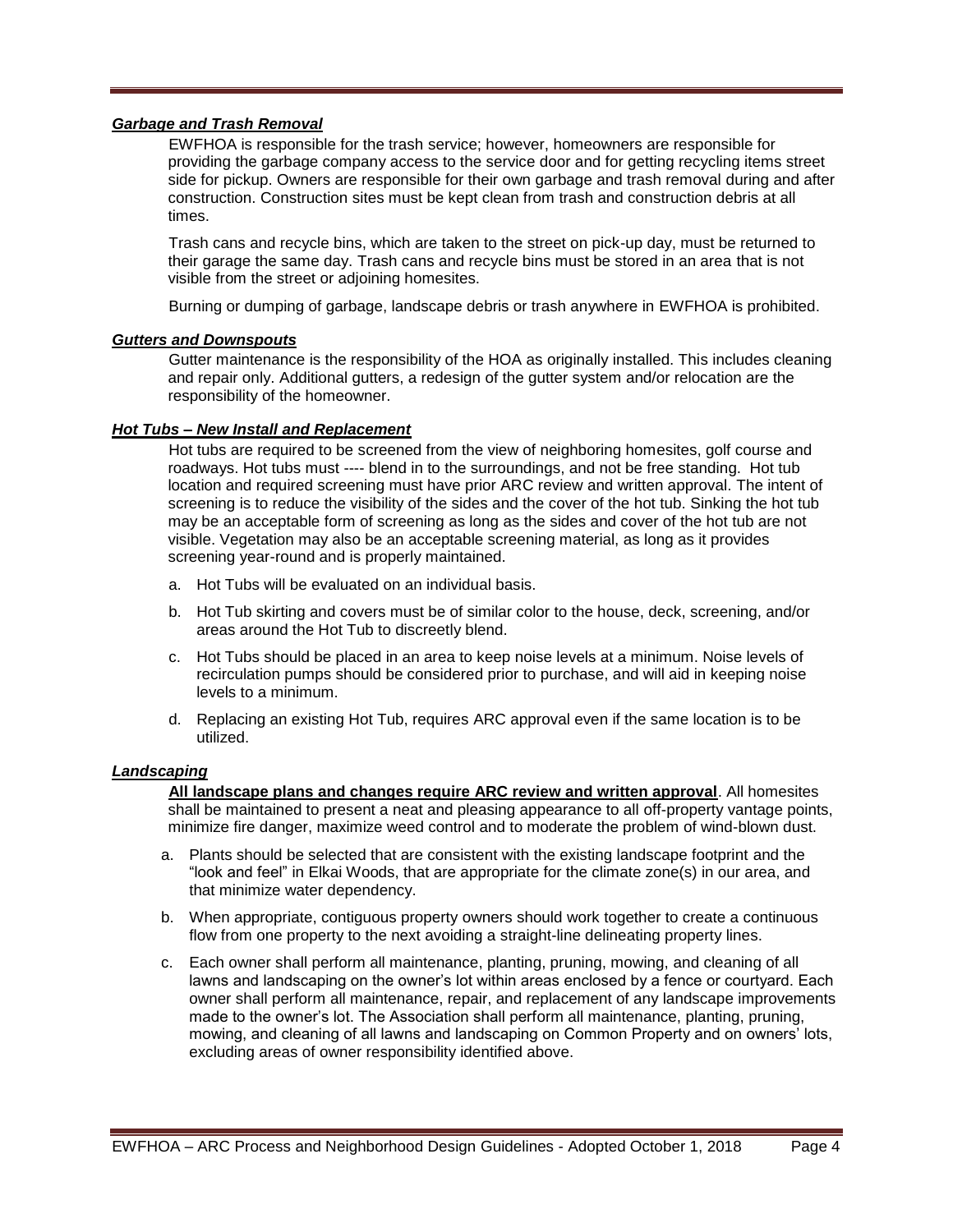## *Garbage and Trash Removal*

EWFHOA is responsible for the trash service; however, homeowners are responsible for providing the garbage company access to the service door and for getting recycling items street side for pickup. Owners are responsible for their own garbage and trash removal during and after construction. Construction sites must be kept clean from trash and construction debris at all times.

Trash cans and recycle bins, which are taken to the street on pick-up day, must be returned to their garage the same day. Trash cans and recycle bins must be stored in an area that is not visible from the street or adjoining homesites.

Burning or dumping of garbage, landscape debris or trash anywhere in EWFHOA is prohibited.

## *Gutters and Downspouts*

Gutter maintenance is the responsibility of the HOA as originally installed. This includes cleaning and repair only. Additional gutters, a redesign of the gutter system and/or relocation are the responsibility of the homeowner.

## *Hot Tubs – New Install and Replacement*

Hot tubs are required to be screened from the view of neighboring homesites, golf course and roadways. Hot tubs must ---- blend in to the surroundings, and not be free standing. Hot tub location and required screening must have prior ARC review and written approval. The intent of screening is to reduce the visibility of the sides and the cover of the hot tub. Sinking the hot tub may be an acceptable form of screening as long as the sides and cover of the hot tub are not visible. Vegetation may also be an acceptable screening material, as long as it provides screening year-round and is properly maintained.

- a. Hot Tubs will be evaluated on an individual basis.
- b. Hot Tub skirting and covers must be of similar color to the house, deck, screening, and/or areas around the Hot Tub to discreetly blend.
- c. Hot Tubs should be placed in an area to keep noise levels at a minimum. Noise levels of recirculation pumps should be considered prior to purchase, and will aid in keeping noise levels to a minimum.
- d. Replacing an existing Hot Tub, requires ARC approval even if the same location is to be utilized.

## *Landscaping*

**All landscape plans and changes require ARC review and written approval**. All homesites shall be maintained to present a neat and pleasing appearance to all off-property vantage points, minimize fire danger, maximize weed control and to moderate the problem of wind-blown dust.

- a. Plants should be selected that are consistent with the existing landscape footprint and the "look and feel" in Elkai Woods, that are appropriate for the climate zone(s) in our area, and that minimize water dependency.
- b. When appropriate, contiguous property owners should work together to create a continuous flow from one property to the next avoiding a straight-line delineating property lines.
- c. Each owner shall perform all maintenance, planting, pruning, mowing, and cleaning of all lawns and landscaping on the owner's lot within areas enclosed by a fence or courtyard. Each owner shall perform all maintenance, repair, and replacement of any landscape improvements made to the owner's lot. The Association shall perform all maintenance, planting, pruning, mowing, and cleaning of all lawns and landscaping on Common Property and on owners' lots, excluding areas of owner responsibility identified above.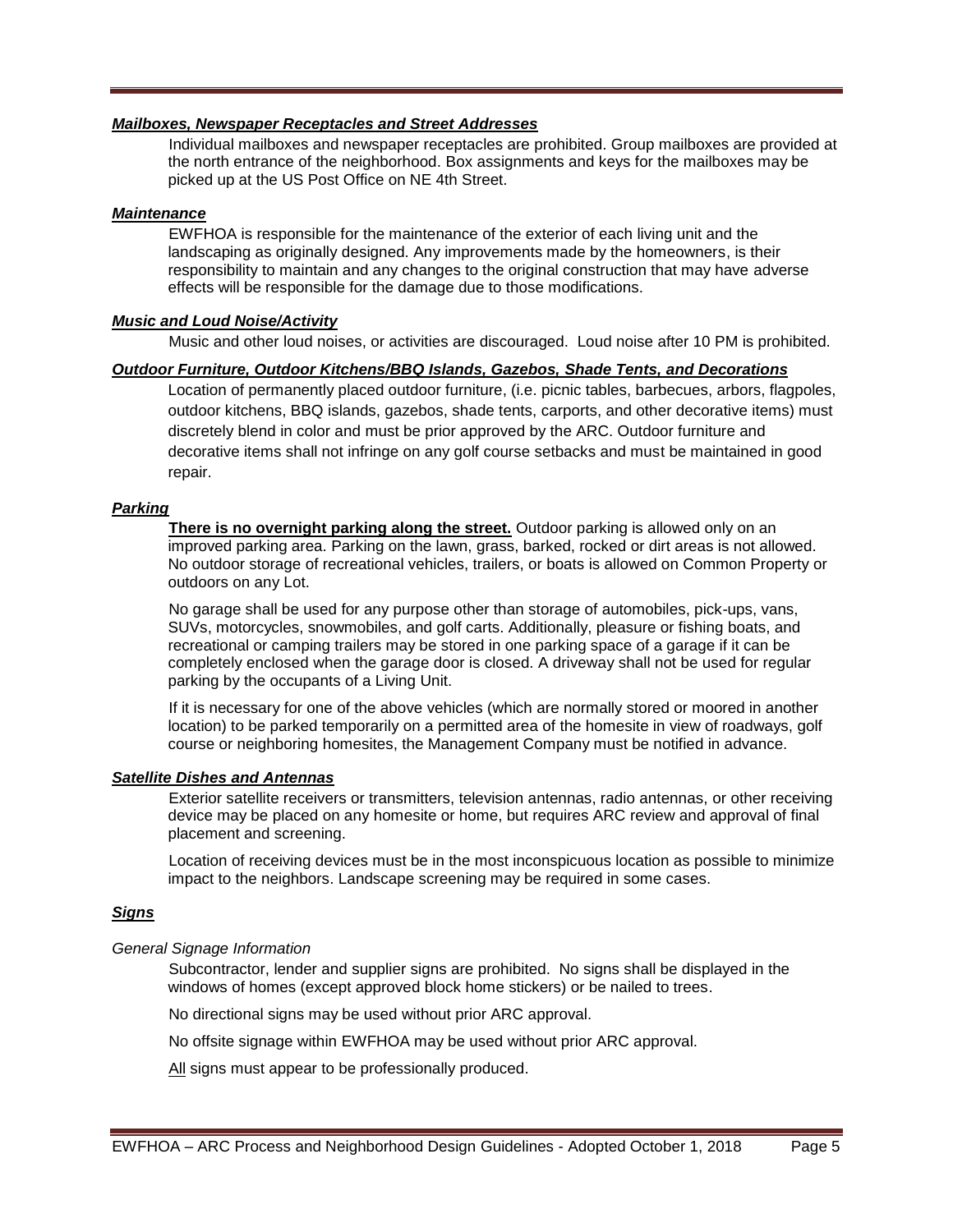## *Mailboxes, Newspaper Receptacles and Street Addresses*

Individual mailboxes and newspaper receptacles are prohibited. Group mailboxes are provided at the north entrance of the neighborhood. Box assignments and keys for the mailboxes may be picked up at the US Post Office on NE 4th Street.

## *Maintenance*

EWFHOA is responsible for the maintenance of the exterior of each living unit and the landscaping as originally designed. Any improvements made by the homeowners, is their responsibility to maintain and any changes to the original construction that may have adverse effects will be responsible for the damage due to those modifications.

## *Music and Loud Noise/Activity*

Music and other loud noises, or activities are discouraged. Loud noise after 10 PM is prohibited.

## *Outdoor Furniture, Outdoor Kitchens/BBQ Islands, Gazebos, Shade Tents, and Decorations*

Location of permanently placed outdoor furniture, (i.e. picnic tables, barbecues, arbors, flagpoles, outdoor kitchens, BBQ islands, gazebos, shade tents, carports, and other decorative items) must discretely blend in color and must be prior approved by the ARC. Outdoor furniture and decorative items shall not infringe on any golf course setbacks and must be maintained in good repair.

## *Parking*

**There is no overnight parking along the street.** Outdoor parking is allowed only on an improved parking area. Parking on the lawn, grass, barked, rocked or dirt areas is not allowed. No outdoor storage of recreational vehicles, trailers, or boats is allowed on Common Property or outdoors on any Lot.

No garage shall be used for any purpose other than storage of automobiles, pick-ups, vans, SUVs, motorcycles, snowmobiles, and golf carts. Additionally, pleasure or fishing boats, and recreational or camping trailers may be stored in one parking space of a garage if it can be completely enclosed when the garage door is closed. A driveway shall not be used for regular parking by the occupants of a Living Unit.

If it is necessary for one of the above vehicles (which are normally stored or moored in another location) to be parked temporarily on a permitted area of the homesite in view of roadways, golf course or neighboring homesites, the Management Company must be notified in advance.

## *Satellite Dishes and Antennas*

Exterior satellite receivers or transmitters, television antennas, radio antennas, or other receiving device may be placed on any homesite or home, but requires ARC review and approval of final placement and screening.

Location of receiving devices must be in the most inconspicuous location as possible to minimize impact to the neighbors. Landscape screening may be required in some cases.

## *Signs*

## *General Signage Information*

Subcontractor, lender and supplier signs are prohibited. No signs shall be displayed in the windows of homes (except approved block home stickers) or be nailed to trees.

No directional signs may be used without prior ARC approval.

No offsite signage within EWFHOA may be used without prior ARC approval.

All signs must appear to be professionally produced.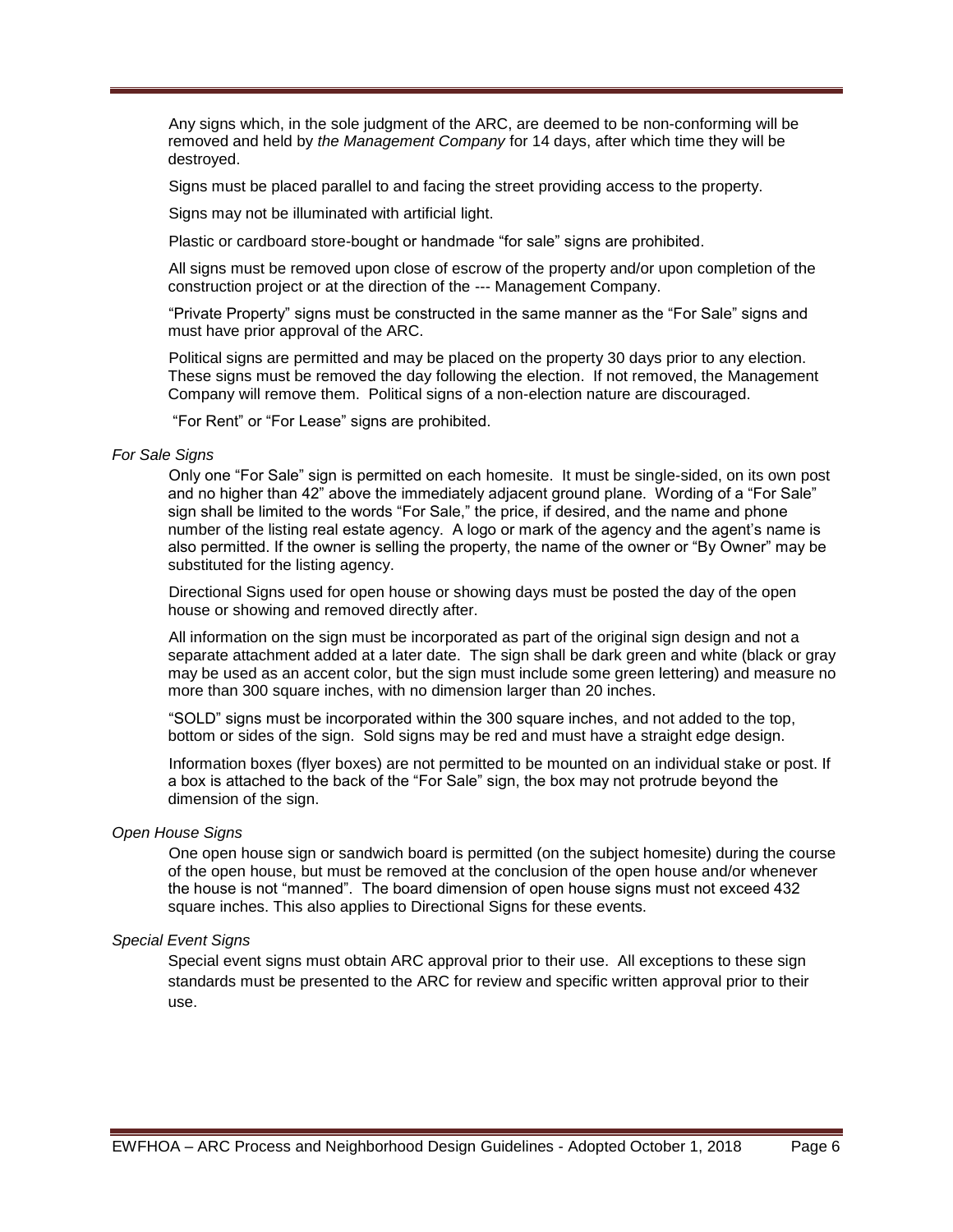Any signs which, in the sole judgment of the ARC, are deemed to be non-conforming will be removed and held by *the Management Company* for 14 days, after which time they will be destroyed.

Signs must be placed parallel to and facing the street providing access to the property.

Signs may not be illuminated with artificial light.

Plastic or cardboard store-bought or handmade "for sale" signs are prohibited.

All signs must be removed upon close of escrow of the property and/or upon completion of the construction project or at the direction of the --- Management Company.

"Private Property" signs must be constructed in the same manner as the "For Sale" signs and must have prior approval of the ARC.

Political signs are permitted and may be placed on the property 30 days prior to any election. These signs must be removed the day following the election. If not removed, the Management Company will remove them. Political signs of a non-election nature are discouraged.

"For Rent" or "For Lease" signs are prohibited.

#### *For Sale Signs*

Only one "For Sale" sign is permitted on each homesite. It must be single-sided, on its own post and no higher than 42" above the immediately adjacent ground plane. Wording of a "For Sale" sign shall be limited to the words "For Sale," the price, if desired, and the name and phone number of the listing real estate agency. A logo or mark of the agency and the agent's name is also permitted. If the owner is selling the property, the name of the owner or "By Owner" may be substituted for the listing agency.

Directional Signs used for open house or showing days must be posted the day of the open house or showing and removed directly after.

All information on the sign must be incorporated as part of the original sign design and not a separate attachment added at a later date. The sign shall be dark green and white (black or gray may be used as an accent color, but the sign must include some green lettering) and measure no more than 300 square inches, with no dimension larger than 20 inches.

"SOLD" signs must be incorporated within the 300 square inches, and not added to the top, bottom or sides of the sign. Sold signs may be red and must have a straight edge design.

Information boxes (flyer boxes) are not permitted to be mounted on an individual stake or post. If a box is attached to the back of the "For Sale" sign, the box may not protrude beyond the dimension of the sign.

#### *Open House Signs*

One open house sign or sandwich board is permitted (on the subject homesite) during the course of the open house, but must be removed at the conclusion of the open house and/or whenever the house is not "manned". The board dimension of open house signs must not exceed 432 square inches. This also applies to Directional Signs for these events.

### *Special Event Signs*

Special event signs must obtain ARC approval prior to their use. All exceptions to these sign standards must be presented to the ARC for review and specific written approval prior to their use.